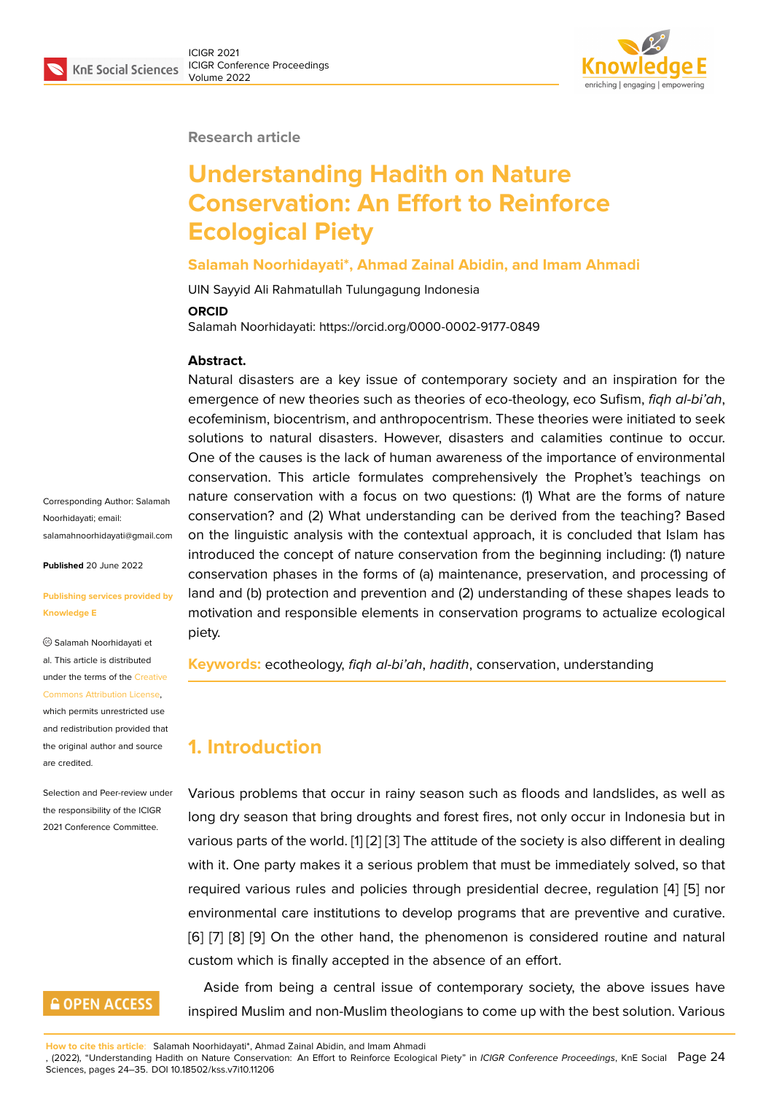

#### **Research article**

# **Understanding Hadith on Nature Conservation: An Effort to Reinforce Ecological Piety**

#### **Salamah Noorhidayati\*, Ahmad Zainal Abidin, and Imam Ahmadi**

UIN Sayyid Ali Rahmatullah Tulungagung Indonesia

#### **ORCID**

Salamah Noorhidayati: https://orcid.org/0000-0002-9177-0849

#### **Abstract.**

Natural disasters are a key issue of contemporary society and an inspiration for the emergence of new theories such as theories of eco-theology, eco Sufism, *fiqh al-bi'ah*, ecofeminism, biocentrism, and anthropocentrism. These theories were initiated to seek solutions to natural disasters. However, disasters and calamities continue to occur. One of the causes is the lack of human awareness of the importance of environmental conservation. This article formulates comprehensively the Prophet's teachings on nature conservation with a focus on two questions: (1) What are the forms of nature conservation? and (2) What understanding can be derived from the teaching? Based on the linguistic analysis with the contextual approach, it is concluded that Islam has introduced the concept of nature conservation from the beginning including: (1) nature conservation phases in the forms of (a) maintenance, preservation, and processing of land and (b) protection and prevention and (2) understanding of these shapes leads to motivation and responsible elements in conservation programs to actualize ecological piety.

**Keywords:** ecotheology, *fiqh al-bi'ah*, *hadith*, conservation, understanding

# **1. Introduction**

Various problems that occur in rainy season such as floods and landslides, as well as long dry season that bring droughts and forest fires, not only occur in Indonesia but in various parts of the world. [1] [2] [3] The attitude of the society is also different in dealing with it. One party makes it a serious problem that must be immediately solved, so that required various rules and policies through presidential decree, regulation [4] [5] nor environmental care institu[tio](#page-9-0)[ns](#page-9-1) [to](#page-9-2) develop programs that are preventive and curative. [6] [7] [8] [9] On the other hand, the phenomenon is considered routine and natural custom which is finally accepted in the absence of an effort.

Aside from being a central issue of contemporary society, the above issues have i[ns](#page-9-3)[pir](#page-9-4)e[d](#page-9-5) M[us](#page-10-0)lim and non-Muslim theologians to come up with the best solution. Various

**Published** 20 June 2022 **[Publishing services provided by](mailto:salamahnoorhidayati@gmail.com) Knowledge E**

Corresponding Author: Salamah

salamahnoorhidayati@gmail.com

Noorhidayati; email:

Salamah Noorhidayati et al. This article is distributed under the terms of the Creative Commons Attribution License, which permits unrestricted use

and redistribution provided that the original author and [source](https://creativecommons.org/licenses/by/4.0/) [are credited.](https://creativecommons.org/licenses/by/4.0/)

Selection and Peer-review under the responsibility of the ICIGR 2021 Conference Committee.

# **GOPEN ACCESS**

**How to cite this article**: Salamah Noorhidayati\*, Ahmad Zainal Abidin, and Imam Ahmadi

, (2022), "Understanding Hadith on Nature Conservation: An Effort to Reinforce Ecological Piety" in *ICIGR Conference Proceedings*, KnE Social Page 24 Sciences, pages 24–35. DOI 10.18502/kss.v7i10.11206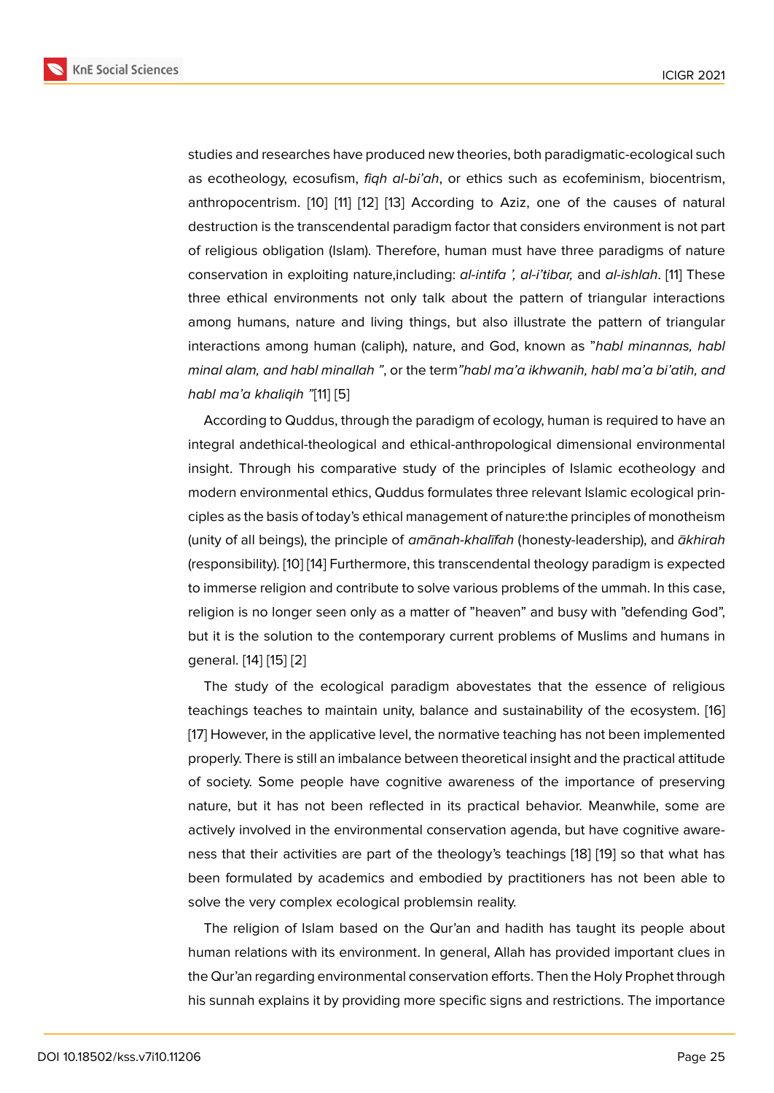studies and researches have produced new theories, both paradigmatic-ecological such as ecotheology, ecosufism, *fiqh al*-*bi'ah*, or ethics such as ecofeminism, biocentrism, anthropocentrism. [10] [11] [12] [13] According to Aziz, one of the causes of natural destruction is the transcendental paradigm factor that considers environment is not part of religious obligation (Islam). Therefore, human must have three paradigms of nature conservation in ex[ploi](#page-10-1)ti[ng](#page-10-2) n[atu](#page-10-3)r[e,in](#page-10-4)cluding: *al-intifa ', al-i'tibar,* and *al-ishlah*. [11] These three ethical environments not only talk about the pattern of triangular interactions among humans, nature and living things, but also illustrate the pattern of triangular interactions among human (caliph), nature, and God, known as "*habl minan[na](#page-10-2)s, habl minal alam, and habl minallah "*, or the term*"habl ma'a ikhwanih, habl ma'a bi'atih, and habl ma'a khaliqih "*[11] [5]

According to Quddus, through the paradigm of ecology, human is required to have an integral andethical-theological and ethical-anthropological dimensional environmental insight. Through his [c](#page-10-2)o[m](#page-9-6)parative study of the principles of Islamic ecotheology and modern environmental ethics, Quddus formulates three relevant Islamic ecological principles as the basis of today's ethical management of nature:the principles of monotheism (unity of all beings), the principle of *amānah-khalīfah* (honesty-leadership), and *ākhirah* (responsibility). [10] [14] Furthermore, this transcendental theology paradigm is expected to immerse religion and contribute to solve various problems of the ummah. In this case, religion is no longer seen only as a matter of "heaven" and busy with "defending God", but it is the sol[utio](#page-10-1)[n to](#page-10-5) the contemporary current problems of Muslims and humans in general. [14] [15] [2]

The study of the ecological paradigm abovestates that the essence of religious teachings teaches to maintain unity, balance and sustainability of the ecosystem. [16] [17] How[eve](#page-10-5)r, [in](#page-10-6) t[he](#page-9-1) applicative level, the normative teaching has not been implemented properly. There is still an imbalance between theoretical insight and the practical attitude of society. Some people have cognitive awareness of the importance of preserv[ing](#page-10-7) [nat](#page-10-8)ure, but it has not been reflected in its practical behavior. Meanwhile, some are actively involved in the environmental conservation agenda, but have cognitive awareness that their activities are part of the theology's teachings [18] [19] so that what has been formulated by academics and embodied by practitioners has not been able to solve the very complex ecological problemsin reality.

The religion of Islam based on the Qur'an and hadith has [ta](#page-10-9)u[ght](#page-10-10) its people about human relations with its environment. In general, Allah has provided important clues in the Qur'an regarding environmental conservation efforts. Then the Holy Prophet through his sunnah explains it by providing more specific signs and restrictions. The importance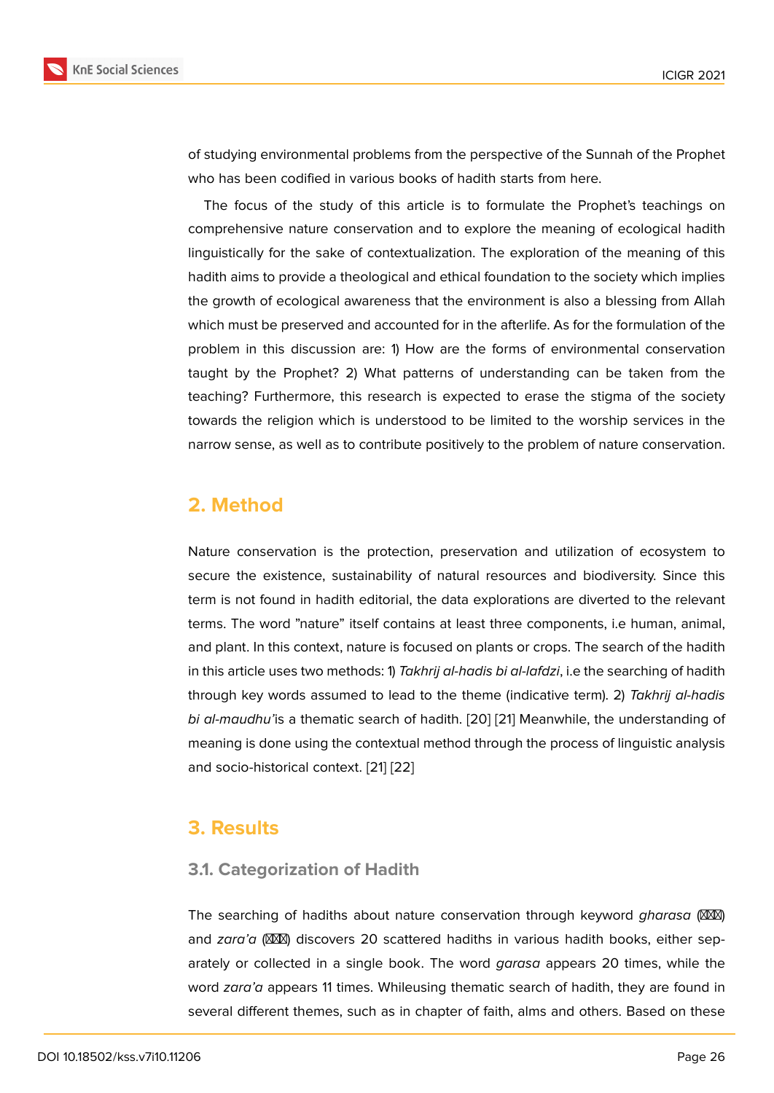of studying environmental problems from the perspective of the Sunnah of the Prophet who has been codified in various books of hadith starts from here.

The focus of the study of this article is to formulate the Prophet's teachings on comprehensive nature conservation and to explore the meaning of ecological hadith linguistically for the sake of contextualization. The exploration of the meaning of this hadith aims to provide a theological and ethical foundation to the society which implies the growth of ecological awareness that the environment is also a blessing from Allah which must be preserved and accounted for in the afterlife. As for the formulation of the problem in this discussion are: 1) How are the forms of environmental conservation taught by the Prophet? 2) What patterns of understanding can be taken from the teaching? Furthermore, this research is expected to erase the stigma of the society towards the religion which is understood to be limited to the worship services in the narrow sense, as well as to contribute positively to the problem of nature conservation.

# **2. Method**

Nature conservation is the protection, preservation and utilization of ecosystem to secure the existence, sustainability of natural resources and biodiversity. Since this term is not found in hadith editorial, the data explorations are diverted to the relevant terms. The word "nature" itself contains at least three components, i.e human, animal, and plant. In this context, nature is focused on plants or crops. The search of the hadith in this article uses two methods: 1) *Takhrij al-hadis bi al-lafdzi*, i.e the searching of hadith through key words assumed to lead to the theme (indicative term). 2) *Takhrij al-hadis bi al-maudhu'*is a thematic search of hadith. [20] [21] Meanwhile, the understanding of meaning is done using the contextual method through the process of linguistic analysis and socio-historical context. [21] [22]

# **3. Results**

### **3.1. Categorization of Hadith**

The searching of hadiths about nature conservation through keyword *gharasa* (XXX) and *zara'a* (XXXI) discovers 20 scattered hadiths in various hadith books, either separately or collected in a single book. The word *garasa* appears 20 times, while the word *zara'a* appears 11 times. Whileusing thematic search of hadith, they are found in several different themes, such as in chapter of faith, alms and others. Based on these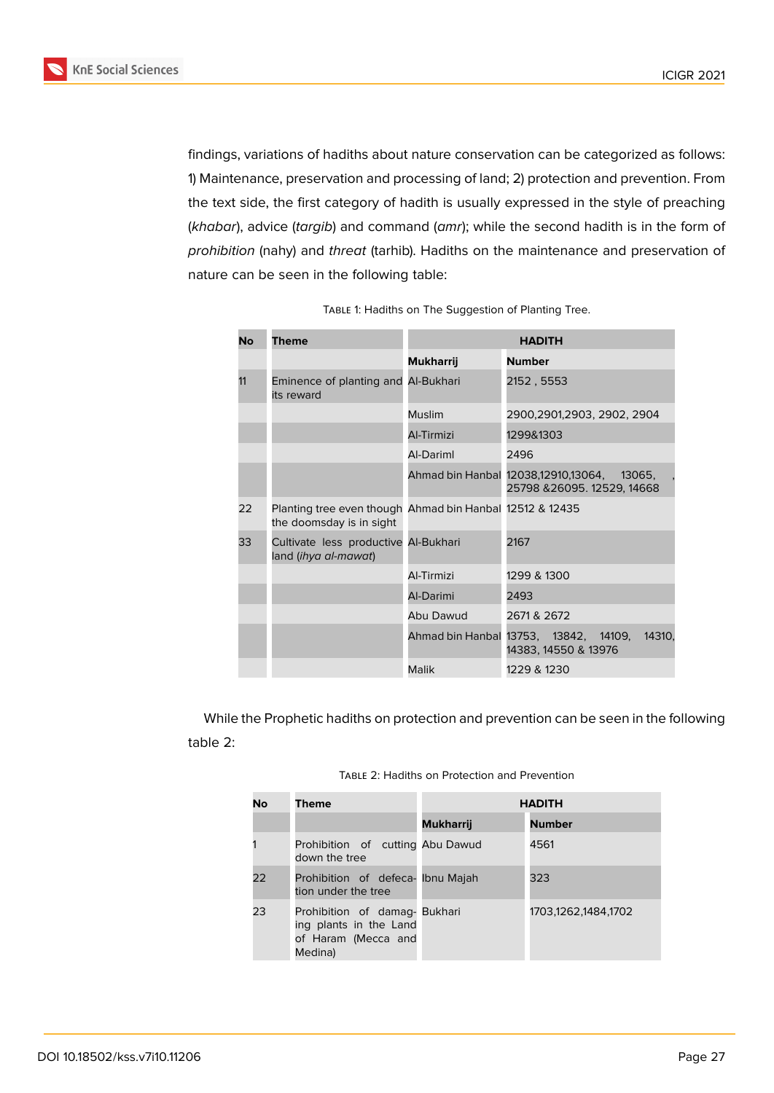

findings, variations of hadiths about nature conservation can be categorized as follows: 1) Maintenance, preservation and processing of land; 2) protection and prevention. From the text side, the first category of hadith is usually expressed in the style of preaching (*khabar*), advice (*targib*) and command (*amr*); while the second hadith is in the form of *prohibition* (nahy) and *threat* (tarhib). Hadiths on the maintenance and preservation of nature can be seen in the following table:

| No | <b>Theme</b>                                                                         | <b>HADITH</b>    |                                                                           |  |
|----|--------------------------------------------------------------------------------------|------------------|---------------------------------------------------------------------------|--|
|    |                                                                                      | <b>Mukharrij</b> | <b>Number</b>                                                             |  |
| 11 | Eminence of planting and Al-Bukhari<br>its reward                                    |                  | 2152, 5553                                                                |  |
|    |                                                                                      | <b>Muslim</b>    | 2900,2901,2903, 2902, 2904                                                |  |
|    |                                                                                      | Al-Tirmizi       | 1299&1303                                                                 |  |
|    |                                                                                      | Al-Dariml        | 2496                                                                      |  |
|    |                                                                                      |                  | Ahmad bin Hanbal 12038,12910,13064, 13065,<br>25798 & 26095. 12529, 14668 |  |
| 22 | Planting tree even though Ahmad bin Hanbal 12512 & 12435<br>the doomsday is in sight |                  |                                                                           |  |
| 33 | Cultivate less productive Al-Bukhari<br>land (ihya al-mawat)                         |                  | 2167                                                                      |  |
|    |                                                                                      | Al-Tirmizi       | 1299 & 1300                                                               |  |
|    |                                                                                      | Al-Darimi        | 2493                                                                      |  |
|    |                                                                                      | Abu Dawud        | 2671 & 2672                                                               |  |
|    |                                                                                      |                  | Ahmad bin Hanbal 13753, 13842, 14109,<br>14310,<br>14383, 14550 & 13976   |  |
|    |                                                                                      | Malik            | 1229 & 1230                                                               |  |

| TABLE 1: Hadiths on The Suggestion of Planting Tree. |  |  |
|------------------------------------------------------|--|--|
|------------------------------------------------------|--|--|

While the Prophetic hadiths on protection and prevention can be seen in the following table 2:

| TABLE 2: Hadiths on Protection and Prevention |
|-----------------------------------------------|
|-----------------------------------------------|

| No | <b>Theme</b>                                                                              | <b>HADITH</b>    |                     |
|----|-------------------------------------------------------------------------------------------|------------------|---------------------|
|    |                                                                                           | <b>Mukharrij</b> | <b>Number</b>       |
|    | Prohibition of cutting Abu Dawud<br>down the tree                                         |                  | 4561                |
| 22 | Prohibition of defeca- Ibnu Majah<br>tion under the tree                                  |                  | 323                 |
| 23 | Prohibition of damag- Bukhari<br>ing plants in the Land<br>of Haram (Mecca and<br>Medina) |                  | 1703,1262,1484,1702 |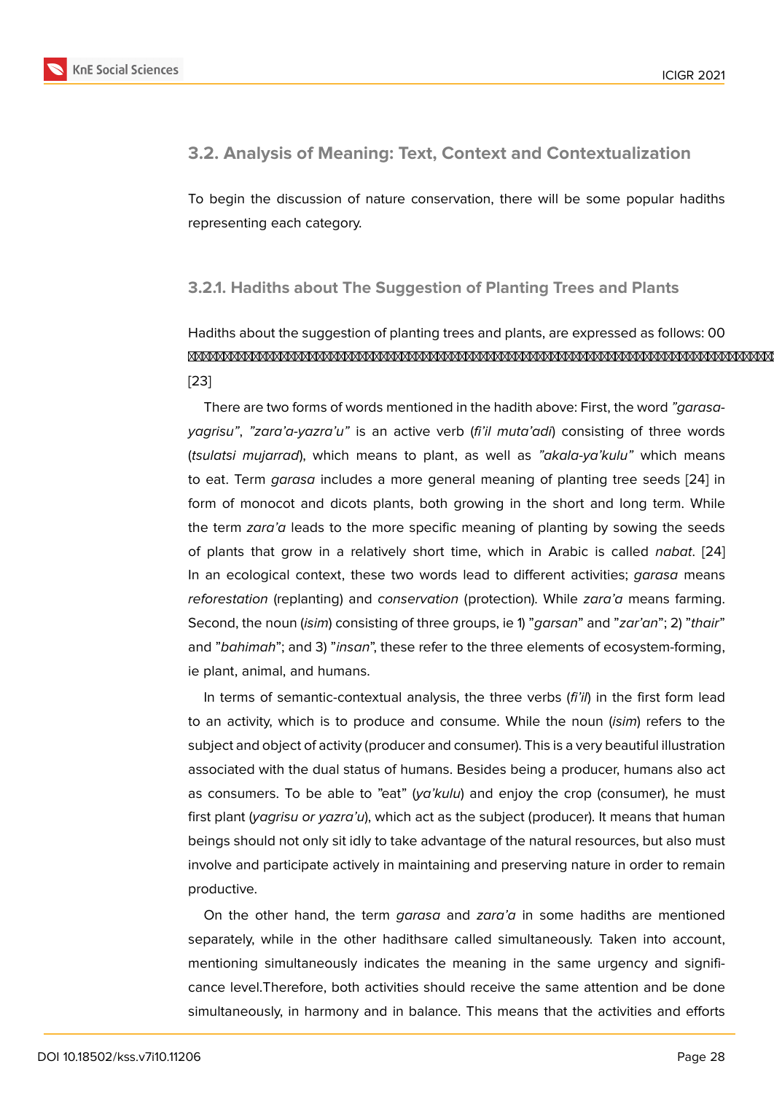### **3.2. Analysis of Meaning: Text, Context and Contextualization**

To begin the discussion of nature conservation, there will be some popular hadiths representing each category.

### **3.2.1. Hadiths about The Suggestion of Planting Trees and Plants**

# Hadiths about the suggestion of planting trees and plants, are expressed as follows: 00 [23]

There are two forms of words mentioned in the hadith above: First, the word *"garasayagrisu"*, *"zara'a-yazra'u"* is an active verb (*fi'il muta'adi*) consisting of three words (*[tsu](#page-10-11)latsi mujarrad*), which means to plant, as well as *"akala-ya'kulu"* which means to eat. Term *garasa* includes a more general meaning of planting tree seeds [24] in form of monocot and dicots plants, both growing in the short and long term. While the term *zara'a* leads to the more specific meaning of planting by sowing the seeds of plants that grow in a relatively short time, which in Arabic is called *nabat*[. \[](#page-10-12)24] In an ecological context, these two words lead to different activities; *garasa* means *reforestation* (replanting) and *conservation* (protection). While *zara'a* means farming. Second, the noun (*isim*) consisting of three groups, ie 1) "*garsan*" and "*zar'an*"; 2) "*th[air](#page-10-12)*" and "*bahimah*"; and 3) "*insan*", these refer to the three elements of ecosystem-forming, ie plant, animal, and humans.

In terms of semantic-contextual analysis, the three verbs (*fi'il*) in the first form lead to an activity, which is to produce and consume. While the noun (*isim*) refers to the subject and object of activity (producer and consumer). This is a very beautiful illustration associated with the dual status of humans. Besides being a producer, humans also act as consumers. To be able to "eat" (*ya'kulu*) and enjoy the crop (consumer), he must first plant (*yagrisu or yazra'u*), which act as the subject (producer). It means that human beings should not only sit idly to take advantage of the natural resources, but also must involve and participate actively in maintaining and preserving nature in order to remain productive.

On the other hand, the term *garasa* and *zara'a* in some hadiths are mentioned separately, while in the other hadithsare called simultaneously. Taken into account, mentioning simultaneously indicates the meaning in the same urgency and significance level.Therefore, both activities should receive the same attention and be done simultaneously, in harmony and in balance. This means that the activities and efforts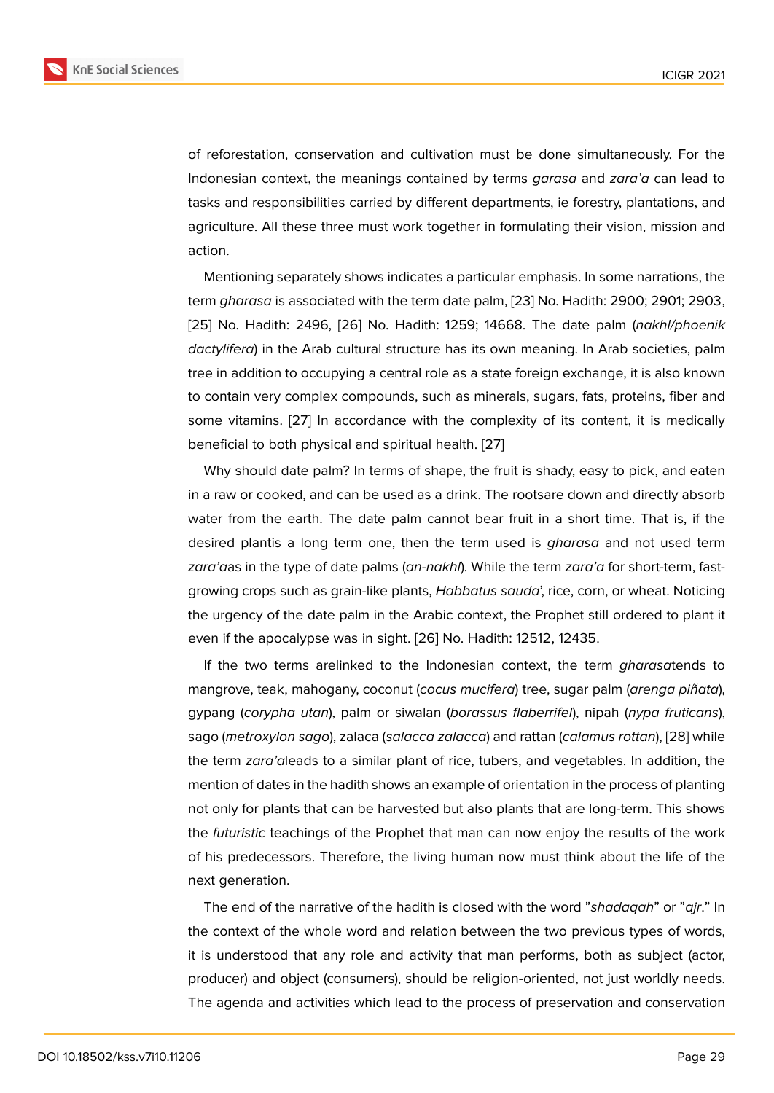of reforestation, conservation and cultivation must be done simultaneously. For the Indonesian context, the meanings contained by terms *garasa* and *zara'a* can lead to tasks and responsibilities carried by different departments, ie forestry, plantations, and agriculture. All these three must work together in formulating their vision, mission and action.

Mentioning separately shows indicates a particular emphasis. In some narrations, the term *gharasa* is associated with the term date palm, [23] No. Hadith: 2900; 2901; 2903, [25] No. Hadith: 2496, [26] No. Hadith: 1259; 14668. The date palm (*nakhl/phoenik dactylifera*) in the Arab cultural structure has its own meaning. In Arab societies, palm tree in addition to occupying a central role as a state [for](#page-10-11)eign exchange, it is also known [to c](#page-10-13)ontain very complex [com](#page-10-14)pounds, such as minerals, sugars, fats, proteins, fiber and some vitamins. [27] In accordance with the complexity of its content, it is medically beneficial to both physical and spiritual health. [27]

Why should date palm? In terms of shape, the fruit is shady, easy to pick, and eaten in a raw or cook[ed,](#page-11-0) and can be used as a drink. The rootsare down and directly absorb water from the earth. The date palm cannot b[ear](#page-11-0) fruit in a short time. That is, if the desired plantis a long term one, then the term used is *gharasa* and not used term *zara'a*as in the type of date palms (*an-nakhl*). While the term *zara'a* for short-term, fastgrowing crops such as grain-like plants, *Habbatus sauda*', rice, corn, or wheat. Noticing the urgency of the date palm in the Arabic context, the Prophet still ordered to plant it even if the apocalypse was in sight. [26] No. Hadith: 12512, 12435.

If the two terms arelinked to the Indonesian context, the term *gharasa*tends to mangrove, teak, mahogany, coconut (*cocus mucifera*) tree, sugar palm (*arenga piñata*), gypang (*corypha utan*), palm or siw[alan](#page-10-14) (*borassus flaberrifel*), nipah (*nypa fruticans*), sago (*metroxylon sago*), zalaca (*salacca zalacca*) and rattan (*calamus rottan*), [28] while the term *zara'a*leads to a similar plant of rice, tubers, and vegetables. In addition, the mention of dates in the hadith shows an example of orientation in the process of planting not only for plants that can be harvested but also plants that are long-term. T[his](#page-11-1) shows the *futuristic* teachings of the Prophet that man can now enjoy the results of the work of his predecessors. Therefore, the living human now must think about the life of the next generation.

The end of the narrative of the hadith is closed with the word "*shadaqah*" or "*ajr*." In the context of the whole word and relation between the two previous types of words, it is understood that any role and activity that man performs, both as subject (actor, producer) and object (consumers), should be religion-oriented, not just worldly needs. The agenda and activities which lead to the process of preservation and conservation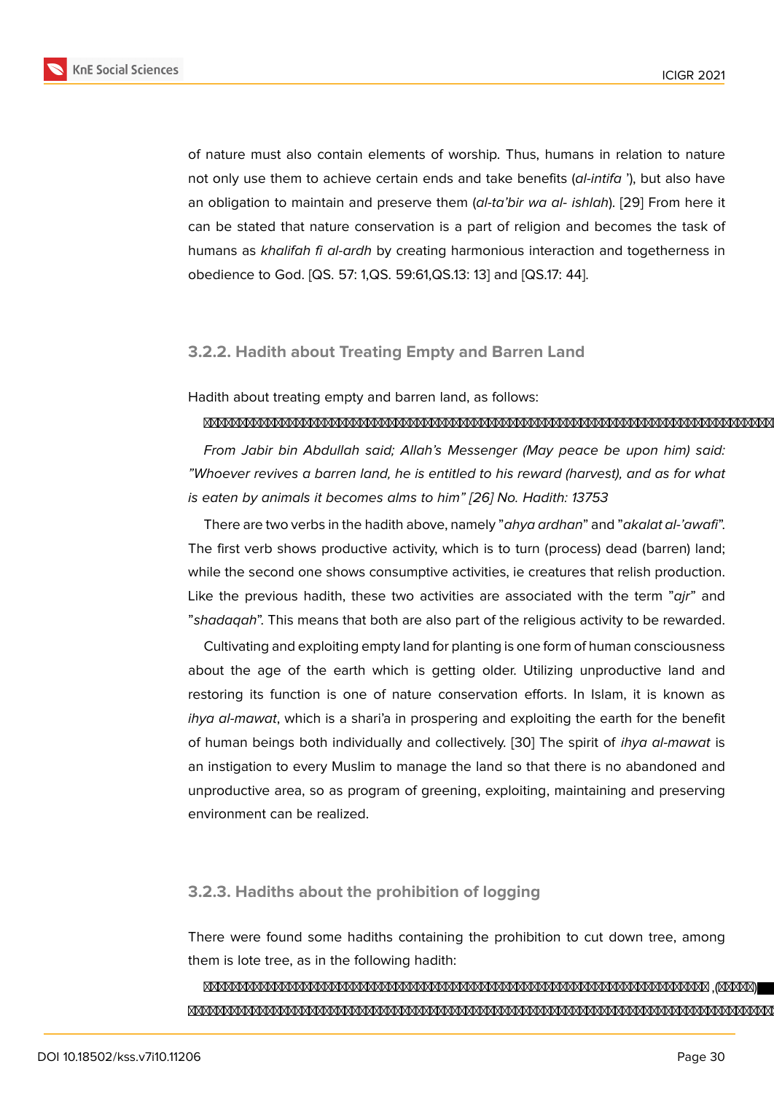of nature must also contain elements of worship. Thus, humans in relation to nature not only use them to achieve certain ends and take benefits (*al-intifa* '), but also have an obligation to maintain and preserve them (*al-ta'bir wa al- ishlah*). [29] From here it can be stated that nature conservation is a part of religion and becomes the task of humans as *khalifah fi al-ardh* by creating harmonious interaction and togetherness in obedience to God. [QS. 57: 1,QS. 59:61,QS.13: 13] and [QS.17: 44].

### **3.2.2. Hadith about Treating Empty and Barren Land**

Hadith about treating empty and barren land, as follows:

#### 

*From Jabir bin Abdullah said; Allah's Messenger (May peace be upon him) said: "Whoever revives a barren land, he is entitled to his reward (harvest), and as for what is eaten by animals it becomes alms to him" [26] No. Hadith: 13753*

There are two verbs in the hadith above, namely "*ahya ardhan*" and "*akalat al-'awafi*". The first verb shows productive activity, which is to turn (process) dead (barren) land; while the second one shows consumptive act[iviti](#page-10-14)es, ie creatures that relish production. Like the previous hadith, these two activities are associated with the term "*ajr*" and "*shadaqah*". This means that both are also part of the religious activity to be rewarded.

Cultivating and exploiting empty land for planting is one form of human consciousness about the age of the earth which is getting older. Utilizing unproductive land and restoring its function is one of nature conservation efforts. In Islam, it is known as *ihya al-mawat*, which is a shari'a in prospering and exploiting the earth for the benefit of human beings both individually and collectively. [30] The spirit of *ihya al-mawat* is an instigation to every Muslim to manage the land so that there is no abandoned and unproductive area, so as program of greening, exploiting, maintaining and preserving environment can be realized.

### **3.2.3. Hadiths about the prohibition of logging**

There were found some hadiths containing the prohibition to cut down tree, among them is lote tree, as in the following hadith:

#### ,()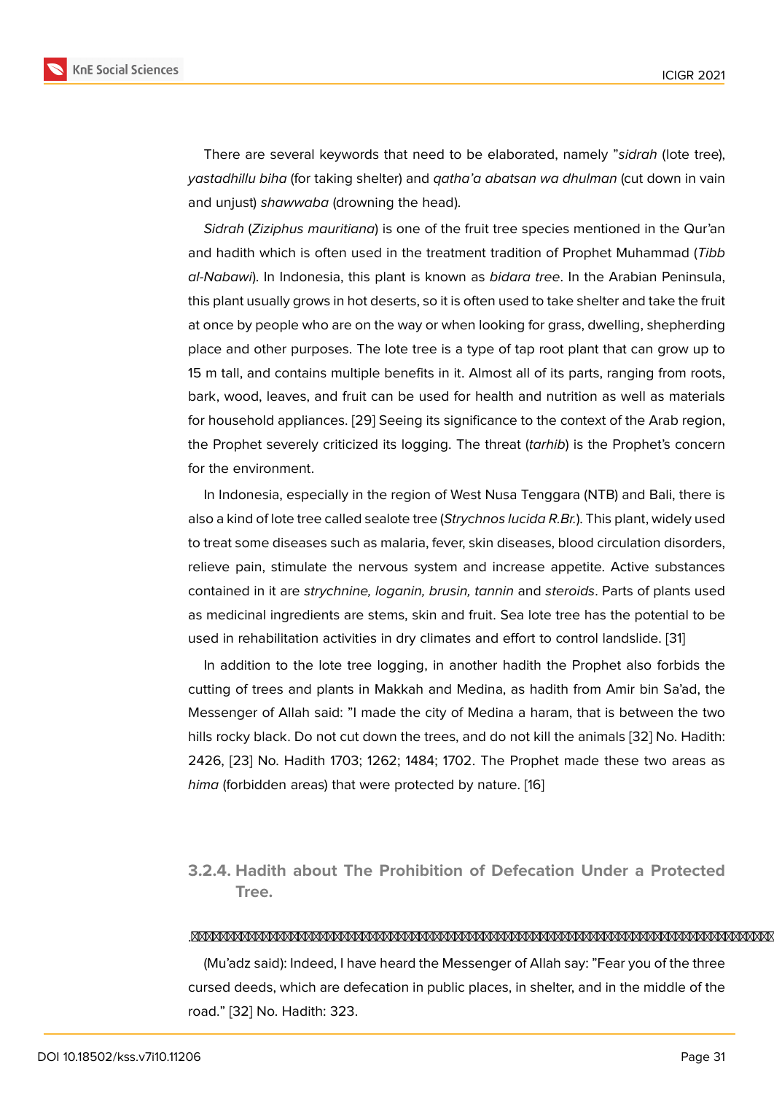There are several keywords that need to be elaborated, namely "*sidrah* (lote tree), *yastadhillu biha* (for taking shelter) and *qatha'a abatsan wa dhulman* (cut down in vain and unjust) *shawwaba* (drowning the head).

*Sidrah* (*Ziziphus mauritiana*) is one of the fruit tree species mentioned in the Qur'an and hadith which is often used in the treatment tradition of Prophet Muhammad (*Tibb al-Nabawi*). In Indonesia, this plant is known as *bidara tree*. In the Arabian Peninsula, this plant usually grows in hot deserts, so it is often used to take shelter and take the fruit at once by people who are on the way or when looking for grass, dwelling, shepherding place and other purposes. The lote tree is a type of tap root plant that can grow up to 15 m tall, and contains multiple benefits in it. Almost all of its parts, ranging from roots, bark, wood, leaves, and fruit can be used for health and nutrition as well as materials for household appliances. [29] Seeing its significance to the context of the Arab region, the Prophet severely criticized its logging. The threat (*tarhib*) is the Prophet's concern for the environment.

In Indonesia, especially [in th](#page-11-2)e region of West Nusa Tenggara (NTB) and Bali, there is also a kind of lote tree called sealote tree (*Strychnos lucida R.Br.*). This plant, widely used to treat some diseases such as malaria, fever, skin diseases, blood circulation disorders, relieve pain, stimulate the nervous system and increase appetite. Active substances contained in it are *strychnine, loganin, brusin, tannin* and *steroids*. Parts of plants used as medicinal ingredients are stems, skin and fruit. Sea lote tree has the potential to be used in rehabilitation activities in dry climates and effort to control landslide. [31]

In addition to the lote tree logging, in another hadith the Prophet also forbids the cutting of trees and plants in Makkah and Medina, as hadith from Amir bin Sa'ad, the Messenger of Allah said: "I made the city of Medina a haram, that is betwee[n t](#page-11-3)he two hills rocky black. Do not cut down the trees, and do not kill the animals [32] No. Hadith: 2426, [23] No. Hadith 1703; 1262; 1484; 1702. The Prophet made these two areas as *hima* (forbidden areas) that were protected by nature. [16]

### **3.2.4. Hadith about The Prohibition of Defecation Under a Protected Tree.**

#### .

(Mu'adz said): Indeed, I have heard the Messenger of Allah say: "Fear you of the three cursed deeds, which are defecation in public places, in shelter, and in the middle of the road." [32] No. Hadith: 323.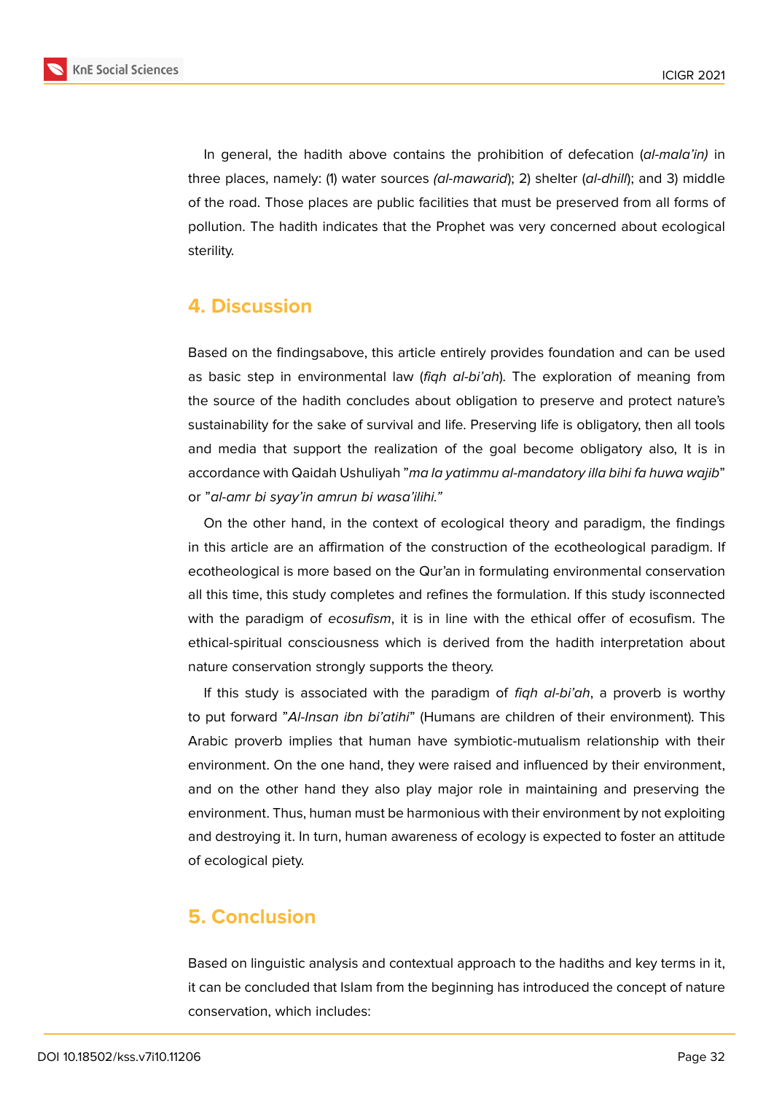

In general, the hadith above contains the prohibition of defecation (*al-mala'in)* in three places, namely: (1) water sources *(al-mawarid*); 2) shelter (*al-dhill*); and 3) middle of the road. Those places are public facilities that must be preserved from all forms of pollution. The hadith indicates that the Prophet was very concerned about ecological sterility.

### **4. Discussion**

Based on the findingsabove, this article entirely provides foundation and can be used as basic step in environmental law (*fiqh al-bi'ah*). The exploration of meaning from the source of the hadith concludes about obligation to preserve and protect nature's sustainability for the sake of survival and life. Preserving life is obligatory, then all tools and media that support the realization of the goal become obligatory also, It is in accordance with Qaidah Ushuliyah "*ma la yatimmu al-mandatory illa bihi fa huwa wajib*" or "*al-amr bi syay'in amrun bi wasa'ilihi."*

On the other hand, in the context of ecological theory and paradigm, the findings in this article are an affirmation of the construction of the ecotheological paradigm. If ecotheological is more based on the Qur'an in formulating environmental conservation all this time, this study completes and refines the formulation. If this study isconnected with the paradigm of *ecosufism*, it is in line with the ethical offer of ecosufism. The ethical-spiritual consciousness which is derived from the hadith interpretation about nature conservation strongly supports the theory.

If this study is associated with the paradigm of *fiqh al-bi'ah*, a proverb is worthy to put forward "*Al-Insan ibn bi'atihi*" (Humans are children of their environment). This Arabic proverb implies that human have symbiotic-mutualism relationship with their environment. On the one hand, they were raised and influenced by their environment, and on the other hand they also play major role in maintaining and preserving the environment. Thus, human must be harmonious with their environment by not exploiting and destroying it. In turn, human awareness of ecology is expected to foster an attitude of ecological piety.

# **5. Conclusion**

Based on linguistic analysis and contextual approach to the hadiths and key terms in it, it can be concluded that Islam from the beginning has introduced the concept of nature conservation, which includes: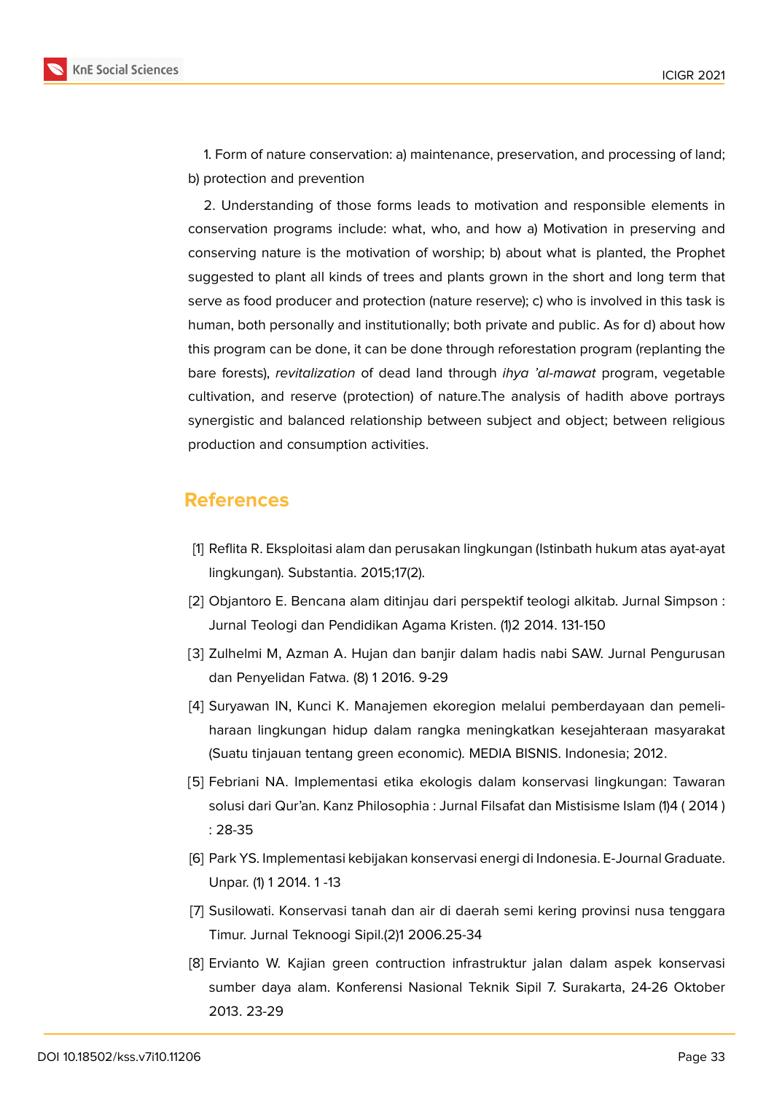

1. Form of nature conservation: a) maintenance, preservation, and processing of land; b) protection and prevention

2. Understanding of those forms leads to motivation and responsible elements in conservation programs include: what, who, and how a) Motivation in preserving and conserving nature is the motivation of worship; b) about what is planted, the Prophet suggested to plant all kinds of trees and plants grown in the short and long term that serve as food producer and protection (nature reserve); c) who is involved in this task is human, both personally and institutionally; both private and public. As for d) about how this program can be done, it can be done through reforestation program (replanting the bare forests), *revitalization* of dead land through *ihya 'al-mawat* program, vegetable cultivation, and reserve (protection) of nature.The analysis of hadith above portrays synergistic and balanced relationship between subject and object; between religious production and consumption activities.

# **References**

- <span id="page-9-0"></span>[1] Reflita R. Eksploitasi alam dan perusakan lingkungan (Istinbath hukum atas ayat-ayat lingkungan). Substantia. 2015;17(2).
- <span id="page-9-1"></span>[2] Objantoro E. Bencana alam ditinjau dari perspektif teologi alkitab. Jurnal Simpson : Jurnal Teologi dan Pendidikan Agama Kristen. (1)2 2014. 131-150
- <span id="page-9-2"></span>[3] Zulhelmi M, Azman A. Hujan dan banjir dalam hadis nabi SAW. Jurnal Pengurusan dan Penyelidan Fatwa. (8) 1 2016. 9-29
- [4] Suryawan IN, Kunci K. Manajemen ekoregion melalui pemberdayaan dan pemeliharaan lingkungan hidup dalam rangka meningkatkan kesejahteraan masyarakat (Suatu tinjauan tentang green economic). MEDIA BISNIS. Indonesia; 2012.
- <span id="page-9-6"></span>[5] Febriani NA. Implementasi etika ekologis dalam konservasi lingkungan: Tawaran solusi dari Qur'an. Kanz Philosophia : Jurnal Filsafat dan Mistisisme Islam (1)4 ( 2014 ) : 28-35
- <span id="page-9-3"></span>[6] Park YS. Implementasi kebijakan konservasi energi di Indonesia. E-Journal Graduate. Unpar. (1) 1 2014. 1 -13
- <span id="page-9-4"></span>[7] Susilowati. Konservasi tanah dan air di daerah semi kering provinsi nusa tenggara Timur. Jurnal Teknoogi Sipil.(2)1 2006.25-34
- <span id="page-9-5"></span>[8] Ervianto W. Kajian green contruction infrastruktur jalan dalam aspek konservasi sumber daya alam. Konferensi Nasional Teknik Sipil 7. Surakarta, 24-26 Oktober 2013. 23-29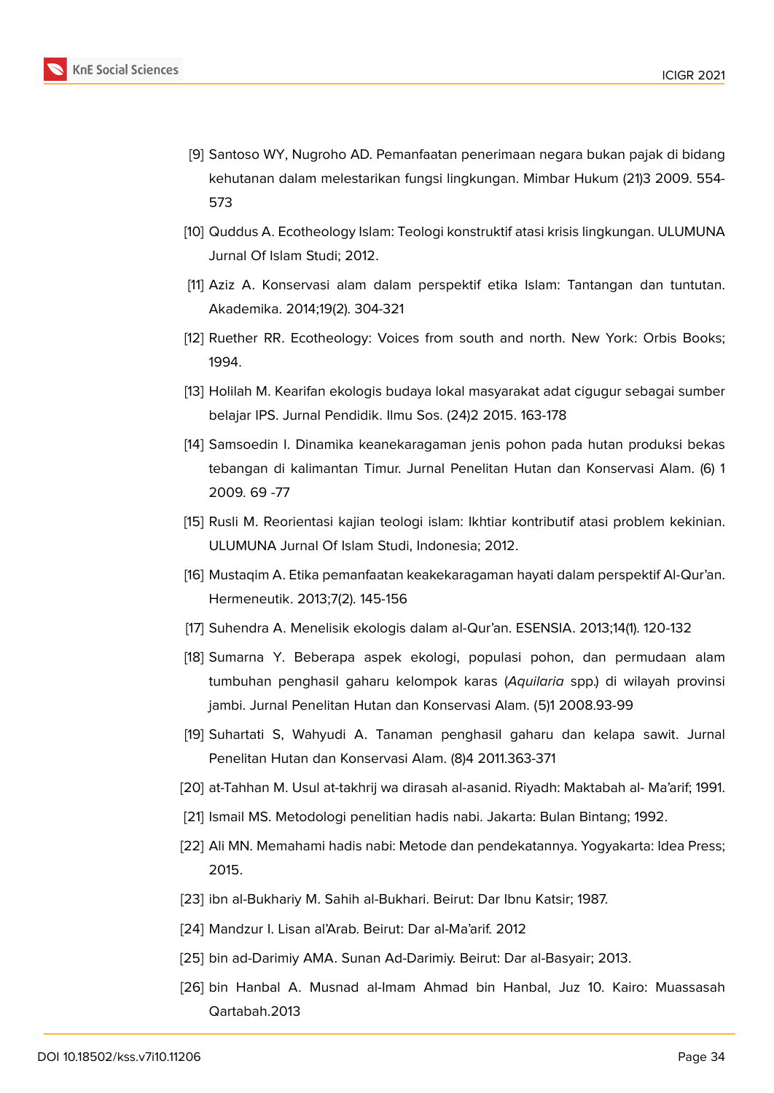

- <span id="page-10-0"></span>[9] Santoso WY, Nugroho AD. Pemanfaatan penerimaan negara bukan pajak di bidang kehutanan dalam melestarikan fungsi lingkungan. Mimbar Hukum (21)3 2009. 554- 573
- <span id="page-10-1"></span>[10] Quddus A. Ecotheology Islam: Teologi konstruktif atasi krisis lingkungan. ULUMUNA Jurnal Of Islam Studi; 2012.
- <span id="page-10-2"></span>[11] Aziz A. Konservasi alam dalam perspektif etika Islam: Tantangan dan tuntutan. Akademika. 2014;19(2). 304-321
- <span id="page-10-3"></span>[12] Ruether RR. Ecotheology: Voices from south and north. New York: Orbis Books; 1994.
- <span id="page-10-4"></span>[13] Holilah M. Kearifan ekologis budaya lokal masyarakat adat cigugur sebagai sumber belajar IPS. Jurnal Pendidik. Ilmu Sos. (24)2 2015. 163-178
- <span id="page-10-5"></span>[14] Samsoedin I. Dinamika keanekaragaman jenis pohon pada hutan produksi bekas tebangan di kalimantan Timur. Jurnal Penelitan Hutan dan Konservasi Alam. (6) 1 2009. 69 -77
- <span id="page-10-6"></span>[15] Rusli M. Reorientasi kajian teologi islam: Ikhtiar kontributif atasi problem kekinian. ULUMUNA Jurnal Of Islam Studi, Indonesia; 2012.
- <span id="page-10-7"></span>[16] Mustaqim A. Etika pemanfaatan keakekaragaman hayati dalam perspektif Al-Qur'an. Hermeneutik. 2013;7(2). 145-156
- <span id="page-10-8"></span>[17] Suhendra A. Menelisik ekologis dalam al-Qur'an. ESENSIA. 2013;14(1). 120-132
- <span id="page-10-9"></span>[18] Sumarna Y. Beberapa aspek ekologi, populasi pohon, dan permudaan alam tumbuhan penghasil gaharu kelompok karas (*Aquilaria* spp.) di wilayah provinsi jambi. Jurnal Penelitan Hutan dan Konservasi Alam. (5)1 2008.93-99
- <span id="page-10-10"></span>[19] Suhartati S, Wahyudi A. Tanaman penghasil gaharu dan kelapa sawit. Jurnal Penelitan Hutan dan Konservasi Alam. (8)4 2011.363-371
- [20] at-Tahhan M. Usul at-takhrij wa dirasah al-asanid. Riyadh: Maktabah al- Ma'arif; 1991.
- [21] Ismail MS. Metodologi penelitian hadis nabi. Jakarta: Bulan Bintang; 1992.
- [22] Ali MN. Memahami hadis nabi: Metode dan pendekatannya. Yogyakarta: Idea Press; 2015.
- <span id="page-10-11"></span>[23] ibn al-Bukhariy M. Sahih al-Bukhari. Beirut: Dar Ibnu Katsir; 1987.
- <span id="page-10-12"></span>[24] Mandzur I. Lisan al'Arab. Beirut: Dar al-Ma'arif. 2012
- <span id="page-10-13"></span>[25] bin ad-Darimiy AMA. Sunan Ad-Darimiy. Beirut: Dar al-Basyair; 2013.
- <span id="page-10-14"></span>[26] bin Hanbal A. Musnad al-Imam Ahmad bin Hanbal, Juz 10. Kairo: Muassasah Qartabah.2013